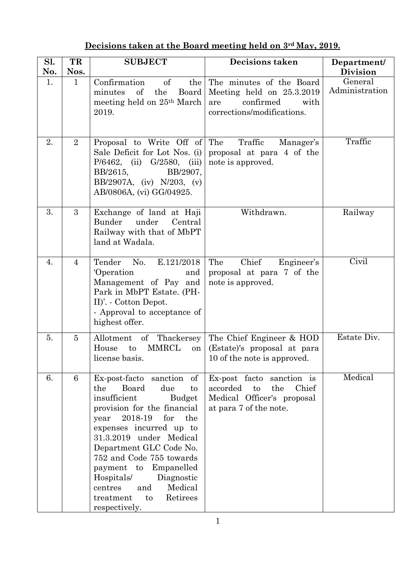## **Decisions taken at the Board meeting held on 3rd May, 2019.**

| Sl.<br>No. | TR<br>Nos.     | <b>SUBJECT</b>                                                                                                                                                                                                                                                                                                                                                                                            | <b>Decisions taken</b>                                                                                              | Department/<br><b>Division</b> |
|------------|----------------|-----------------------------------------------------------------------------------------------------------------------------------------------------------------------------------------------------------------------------------------------------------------------------------------------------------------------------------------------------------------------------------------------------------|---------------------------------------------------------------------------------------------------------------------|--------------------------------|
| 1.         | $\mathbf{1}$   | Confirmation<br>of<br>the<br>minutes<br>of<br>the<br>Board<br>meeting held on 25 <sup>th</sup> March<br>2019.                                                                                                                                                                                                                                                                                             | The minutes of the Board<br>Meeting held on $25.3.2019$<br>confirmed<br>with<br>are<br>corrections/modifications.   | General<br>Administration      |
| 2.         | $\overline{2}$ | Proposal to Write Off of<br>Sale Deficit for Lot Nos. (i)<br>$G/2580$ , (iii)<br>$P/6462$ , (ii)<br>BB/2907,<br>BB/2615,<br>BB/2907A, (iv) $N/203$ , (v)<br>AB/0806A, (vi) GG/04925.                                                                                                                                                                                                                      | The<br>Traffic<br>Manager's<br>proposal at para 4 of the<br>note is approved.                                       | Traffic                        |
| 3.         | 3              | Exchange of land at Haji<br><b>Bunder</b><br>under<br>Central<br>Railway with that of MbPT<br>land at Wadala.                                                                                                                                                                                                                                                                                             | Withdrawn.                                                                                                          | Railway                        |
| 4.         | $\overline{4}$ | Tender<br>No.<br>E.121/2018<br>Operation<br>and<br>Management of Pay and<br>Park in MbPT Estate. (PH-<br>II)'. - Cotton Depot.<br>- Approval to acceptance of<br>highest offer.                                                                                                                                                                                                                           | Chief<br>The<br>Engineer's<br>proposal at para 7 of the<br>note is approved.                                        | Civil                          |
| 5.         | $\overline{5}$ | of Thackersey<br>Allotment<br><b>MMRCL</b><br>House<br>to<br>on<br>license basis.                                                                                                                                                                                                                                                                                                                         | The Chief Engineer & HOD<br>(Estate)'s proposal at para<br>10 of the note is approved.                              | Estate Div.                    |
| 6.         | 6              | Ex-post-facto sanction of<br>Board<br>the<br>due<br>to<br>insufficient<br><b>Budget</b><br>provision for the financial<br>2018-19<br>the<br>for<br>year<br>expenses incurred up to<br>31.3.2019 under Medical<br>Department GLC Code No.<br>752 and Code 755 towards<br>payment to<br>Empanelled<br>Hospitals/<br>Diagnostic<br>Medical<br>and<br>centres<br>Retirees<br>treatment<br>to<br>respectively. | Ex-post facto sanction is<br>the<br>Chief<br>accorded<br>to<br>Medical Officer's proposal<br>at para 7 of the note. | Medical                        |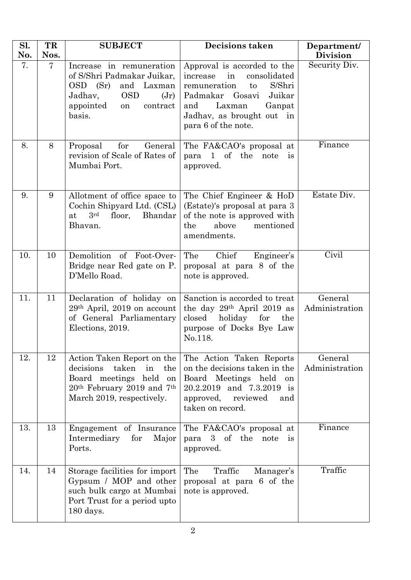| Sl.<br>No. | TR<br>Nos.     | <b>SUBJECT</b>                                                                                                                                                      | Decisions taken                                                                                                                                                                                           | Department/<br><b>Division</b> |
|------------|----------------|---------------------------------------------------------------------------------------------------------------------------------------------------------------------|-----------------------------------------------------------------------------------------------------------------------------------------------------------------------------------------------------------|--------------------------------|
| 7.         | $\overline{7}$ | Increase in remuneration<br>of S/Shri Padmakar Juikar,<br>OSD (Sr)<br>and Laxman<br><b>OSD</b><br>Jadhav,<br>(Jr)<br>appointed<br>contract<br>on<br>basis.          | Approval is accorded to the<br>increase<br>in<br>consolidated<br>S/Shri<br>remuneration<br>to<br>Padmakar Gosavi<br>Juikar<br>and<br>Laxman<br>Ganpat<br>Jadhav, as brought out in<br>para 6 of the note. | Security Div.                  |
| 8.         | 8              | for<br>General<br>Proposal<br>revision of Scale of Rates of<br>Mumbai Port.                                                                                         | The FA&CAO's proposal at<br>para 1 of the<br>note<br>is<br>approved.                                                                                                                                      | Finance                        |
| 9.         | 9              | Allotment of office space to<br>Cochin Shipyard Ltd. (CSL)<br>3 <sup>rd</sup><br>floor, Bhandar<br>at<br>Bhavan.                                                    | The Chief Engineer & HoD<br>(Estate)'s proposal at para 3<br>of the note is approved with<br>above<br>mentioned<br>the<br>amendments.                                                                     | Estate Div.                    |
| 10.        | 10             | Demolition of Foot-Over-<br>Bridge near Red gate on P.<br>D'Mello Road.                                                                                             | Chief<br>The<br>Engineer's<br>proposal at para 8 of the<br>note is approved.                                                                                                                              | Civil                          |
| 11.        | 11             | Declaration of holiday on<br>29th April, 2019 on account<br>of General Parliamentary<br>Elections, 2019.                                                            | Sanction is accorded to treat<br>the day 29 <sup>th</sup> April 2019 as<br>holiday<br>for<br>$\csc$<br>the<br>purpose of Docks Bye Law<br>No.118.                                                         | General<br>Administration      |
| 12.        | 12             | Action Taken Report on the<br>taken<br>decisions<br>in<br>the<br>Board meetings held<br>on<br>$20th$ February 2019 and 7 <sup>th</sup><br>March 2019, respectively. | The Action Taken Reports<br>on the decisions taken in the<br>Board Meetings held<br>on<br>20.2.2019 and 7.3.2019 is<br>approved,<br>reviewed<br>and<br>taken on record.                                   | General<br>Administration      |
| 13.        | 13             | Engagement of Insurance<br>Intermediary<br>for<br>Major<br>Ports.                                                                                                   | The FA&CAO's proposal at<br>of the<br>3 <sup>1</sup><br>para<br>note<br><i>is</i><br>approved.                                                                                                            | Finance                        |
| 14.        | 14             | Storage facilities for import<br>Gypsum / MOP and other<br>such bulk cargo at Mumbai<br>Port Trust for a period upto<br>180 days.                                   | The<br>Traffic<br>Manager's<br>proposal at para 6 of the<br>note is approved.                                                                                                                             | Traffic                        |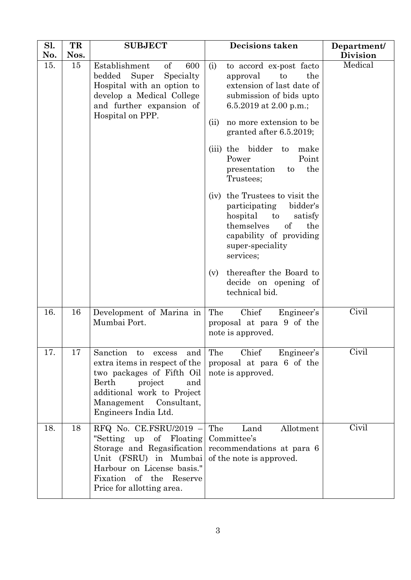| Sl.<br>No. | TR<br>Nos. | <b>SUBJECT</b>                                                                                                                                                                                                     | <b>Decisions taken</b>                                                                                                                                                                                                                                                                                                                                                                                                                                                                                                                                            | Department/<br><b>Division</b> |
|------------|------------|--------------------------------------------------------------------------------------------------------------------------------------------------------------------------------------------------------------------|-------------------------------------------------------------------------------------------------------------------------------------------------------------------------------------------------------------------------------------------------------------------------------------------------------------------------------------------------------------------------------------------------------------------------------------------------------------------------------------------------------------------------------------------------------------------|--------------------------------|
| 15.        | 15         | Establishment<br>of<br>600<br>Super<br>bedded<br>Specialty<br>Hospital with an option to<br>develop a Medical College<br>and further expansion of<br>Hospital on PPP.                                              | to accord ex-post facto<br>(i)<br>the<br>approval<br>to<br>extension of last date of<br>submission of bids upto<br>6.5.2019 at 2.00 p.m.;<br>no more extension to be<br>(ii)<br>granted after 6.5.2019;<br>(iii) the bidder to<br>make<br>Power<br>Point<br>the<br>presentation<br>to<br>Trustees;<br>(iv) the Trustees to visit the<br>bidder's<br>participating<br>hospital<br>to<br>satisfy<br>themselves<br>of<br>the<br>capability of providing<br>super-speciality<br>services;<br>thereafter the Board to<br>(v)<br>decide on opening of<br>technical bid. | Medical                        |
| 16.        | 16         | Development of Marina in<br>Mumbai Port.                                                                                                                                                                           | Chief<br>The<br>Engineer's<br>proposal at para 9 of the<br>note is approved.                                                                                                                                                                                                                                                                                                                                                                                                                                                                                      | Civil                          |
| 17.        | 17         | Sanction<br>to<br>excess<br>and<br>extra items in respect of the<br>two packages of Fifth Oil<br>Berth<br>project<br>and<br>additional work to Project<br>Management Consultant,<br>Engineers India Ltd.           | The<br>Chief<br>Engineer's<br>proposal at para 6 of the<br>note is approved.                                                                                                                                                                                                                                                                                                                                                                                                                                                                                      | Civil                          |
| 18.        | 18         | RFQ No. CE.FSRU/2019 -<br>Floating<br>"Setting<br>$\mathrm{of}$<br>up<br>Storage and Regasification<br>Unit (FSRU) in Mumbai<br>Harbour on License basis."<br>Fixation of the Reserve<br>Price for allotting area. | The<br>Land<br>Allotment<br>Committee's<br>recommendations at para 6<br>of the note is approved.                                                                                                                                                                                                                                                                                                                                                                                                                                                                  | Civil                          |